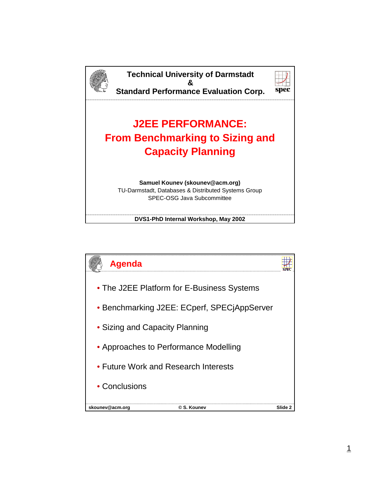

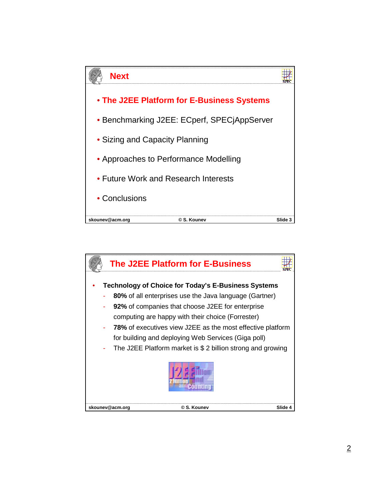

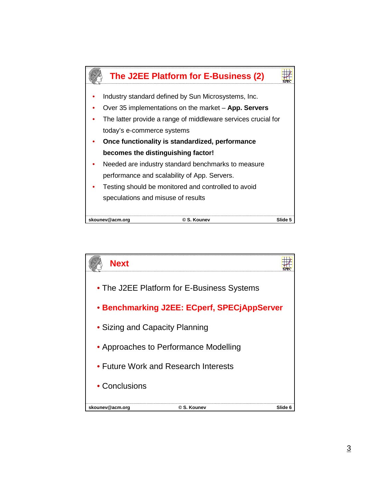

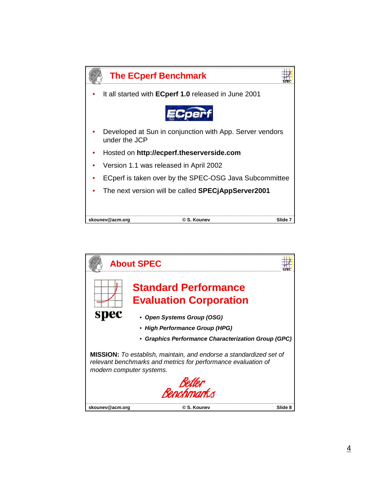

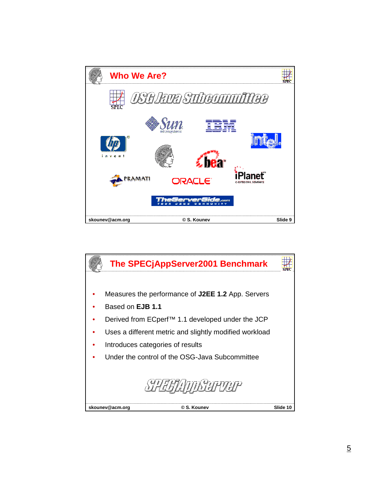

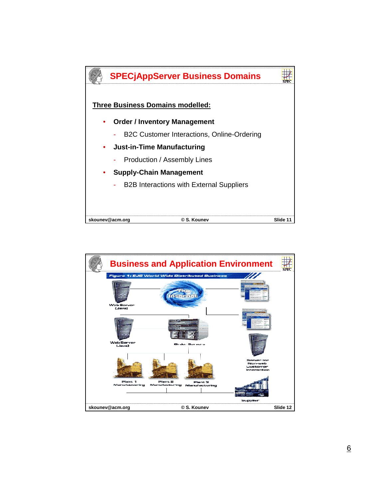

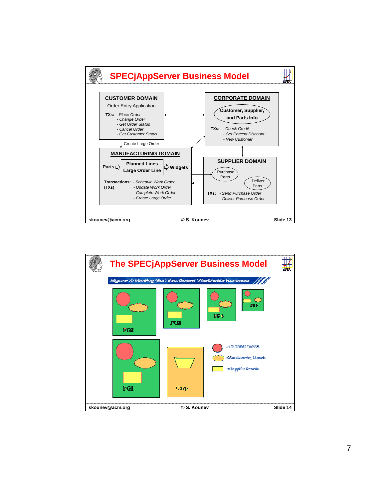

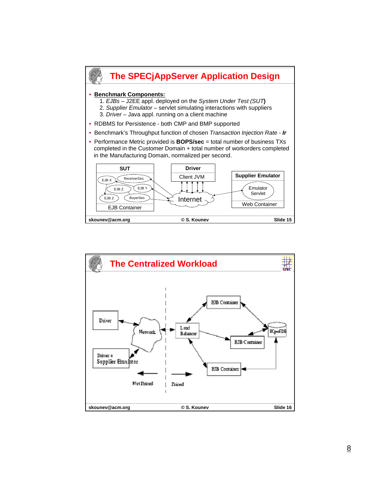

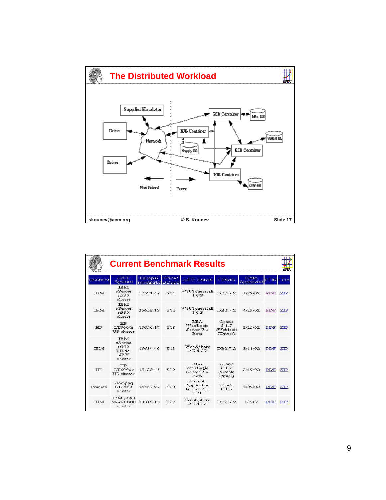

|            | <b>Current Benchmark Results</b>                         |                                |        |                                                     |                                          |                  |                |      |
|------------|----------------------------------------------------------|--------------------------------|--------|-----------------------------------------------------|------------------------------------------|------------------|----------------|------|
| Sponsor    | J2EE<br>System                                           | <b>BBops/</b><br>min@Std BBops | Price/ | J2EE Server                                         | <b>DBMS</b>                              | Date<br>Approved | <b>FDR FDA</b> |      |
| <b>TBM</b> | <b>TBM</b><br>eServer<br>$\times$ 330<br>cluster         | 3258147                        | \$11   | WebSphereAE<br>403                                  | DB27.2                                   | 4/22/02          | PDF            | ZIP  |
| <b>TRM</b> | <b>TBM</b><br>eServer<br>$*330$<br>cluster               | 25658.13                       | \$12   | WebSphereAE<br>403                                  | DB27.2                                   | 4/29/02          | PDF            | ZIP  |
| HP         | HP<br><b>T.T6000r</b><br>U <sub>3</sub> cluster          | 16696 17                       | \$18   | <b>BEA</b><br>WebLogic<br>Server 7.0<br><b>Beta</b> | Oracle<br>8.1.7<br>(Weblogic<br>JDriver) | 2/25/02          | PDF            | ZIP  |
| <b>TBM</b> | <b>IBM</b><br>xSeries<br>x350<br>Model<br>6RY<br>cluster | 16634.40                       | \$13   | WebSphere<br>AE 4.03                                | DB27.2                                   | 3/11/02          | PDF            | ZIP  |
| <b>HP</b>  | HP<br><b>T.T6000r</b><br>U <sub>3</sub> cluster          | 1518043                        | \$20   | <b>BEA</b><br>WebLogic<br>Server 7.0<br><b>Beta</b> | Oracle<br>8.1.7<br>(Oracle<br>Driver)    | 2/19/02          | PDF            | ZIP  |
| Pramati    | Compaq<br>DL-580<br>cluster                              | 14467.97                       | \$22   | Pramati<br>Application<br>Server 3.0<br>SP1         | Oracle<br>8.1.6                          | 4/29/02          | PDF            | ZIP. |
| <b>TBM</b> | IBMp640<br>Model B80<br>cluster                          | 10316.13                       | \$27   | WebSphere<br>AE 4.02                                | DB272                                    | 1/7/02           | PDF            | ZIP  |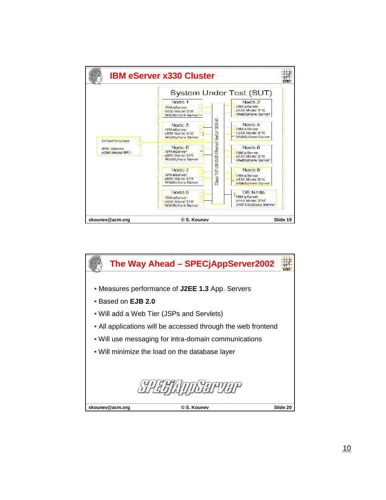

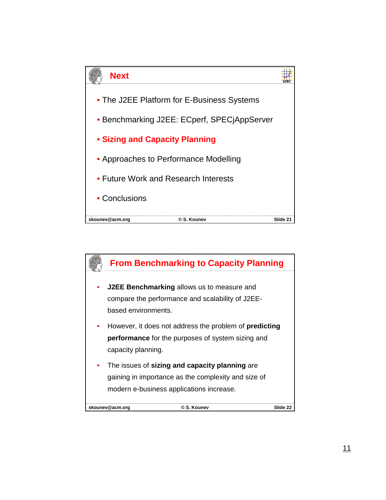

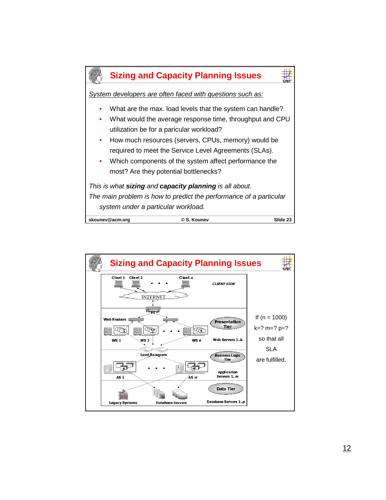

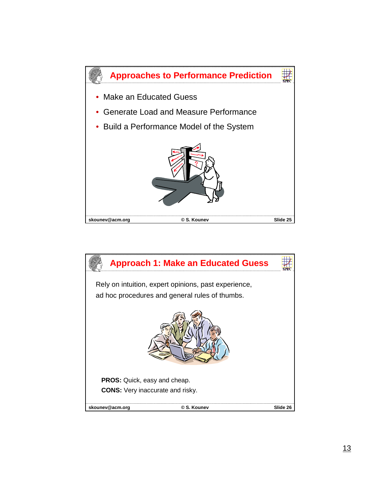

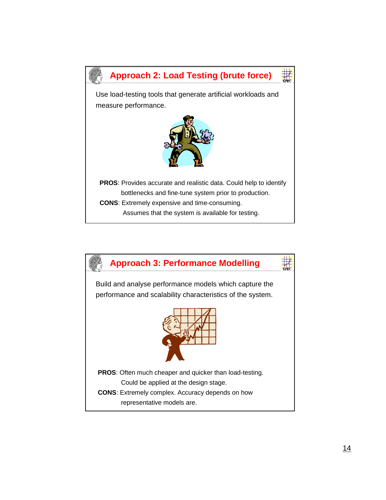

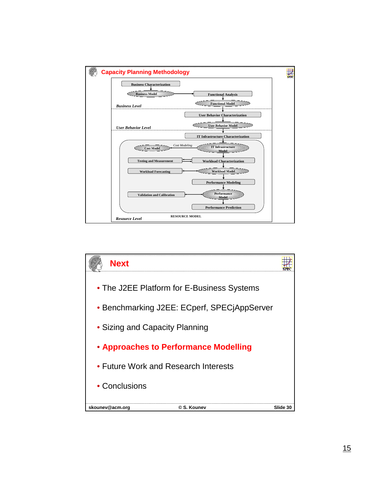

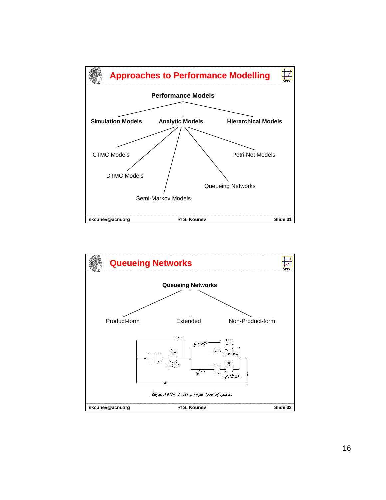

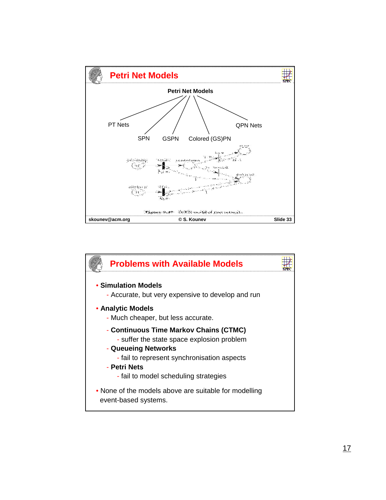

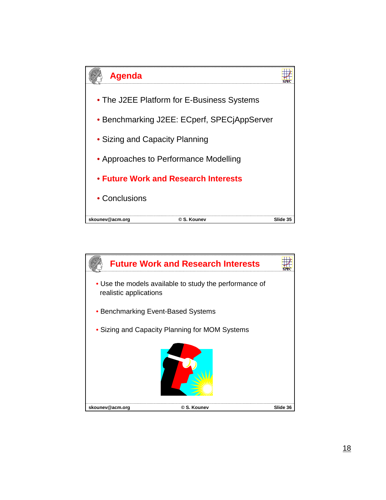

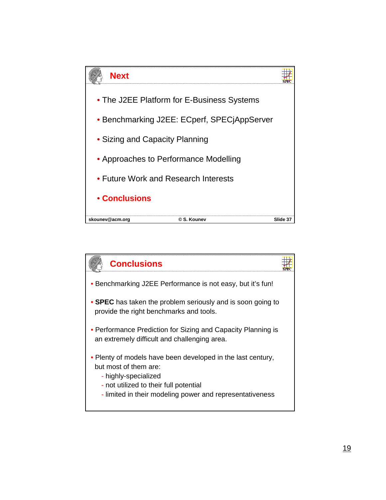